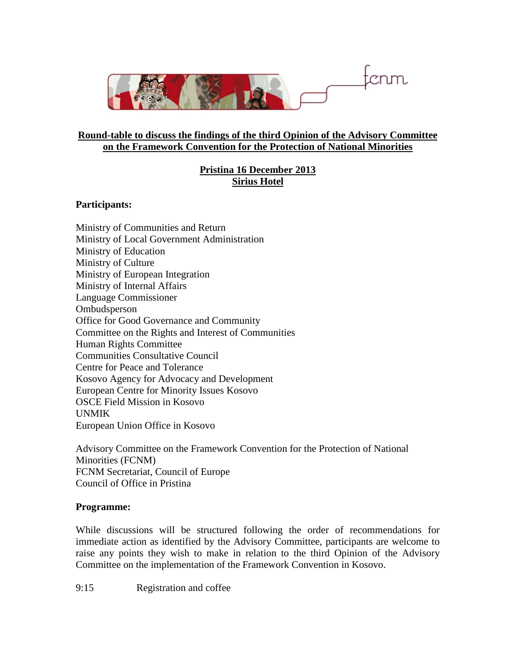

## **Round-table to discuss the findings of the third Opinion of the Advisory Committee on the Framework Convention for the Protection of National Minorities**

## **Pristina 16 December 2013 Sirius Hotel**

## **Participants:**

Ministry of Communities and Return Ministry of Local Government Administration Ministry of Education Ministry of Culture Ministry of European Integration Ministry of Internal Affairs Language Commissioner **Ombudsperson** Office for Good Governance and Community Committee on the Rights and Interest of Communities Human Rights Committee Communities Consultative Council Centre for Peace and Tolerance Kosovo Agency for Advocacy and Development European Centre for Minority Issues Kosovo OSCE Field Mission in Kosovo UNMIK European Union Office in Kosovo

Advisory Committee on the Framework Convention for the Protection of National Minorities (FCNM) FCNM Secretariat, Council of Europe Council of Office in Pristina

## **Programme:**

While discussions will be structured following the order of recommendations for immediate action as identified by the Advisory Committee, participants are welcome to raise any points they wish to make in relation to the third Opinion of the Advisory Committee on the implementation of the Framework Convention in Kosovo.

9:15 Registration and coffee